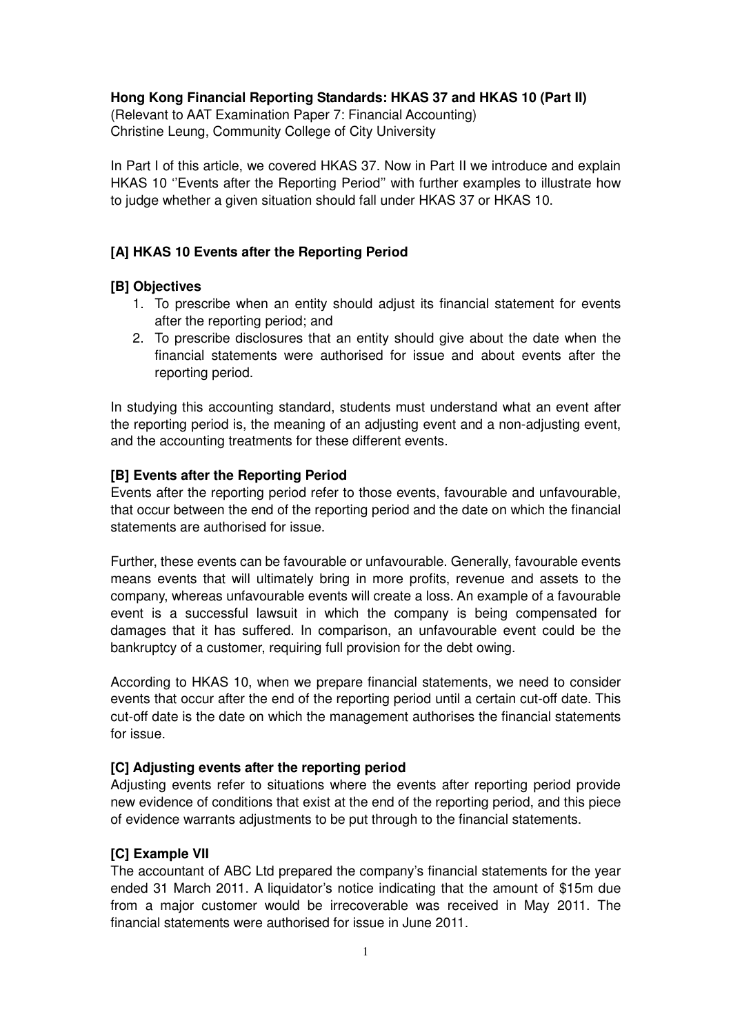## **Hong Kong Financial Reporting Standards: HKAS 37 and HKAS 10 (Part II)**

(Relevant to AAT Examination Paper 7: Financial Accounting) Christine Leung, Community College of City University

In Part I of this article, we covered HKAS 37. Now in Part II we introduce and explain HKAS 10 ''Events after the Reporting Period'' with further examples to illustrate how to judge whether a given situation should fall under HKAS 37 or HKAS 10.

# **[A] HKAS 10 Events after the Reporting Period**

## **[B] Objectives**

- 1. To prescribe when an entity should adjust its financial statement for events after the reporting period; and
- 2. To prescribe disclosures that an entity should give about the date when the financial statements were authorised for issue and about events after the reporting period.

In studying this accounting standard, students must understand what an event after the reporting period is, the meaning of an adjusting event and a non-adjusting event, and the accounting treatments for these different events.

### **[B] Events after the Reporting Period**

Events after the reporting period refer to those events, favourable and unfavourable, that occur between the end of the reporting period and the date on which the financial statements are authorised for issue.

Further, these events can be favourable or unfavourable. Generally, favourable events means events that will ultimately bring in more profits, revenue and assets to the company, whereas unfavourable events will create a loss. An example of a favourable event is a successful lawsuit in which the company is being compensated for damages that it has suffered. In comparison, an unfavourable event could be the bankruptcy of a customer, requiring full provision for the debt owing.

According to HKAS 10, when we prepare financial statements, we need to consider events that occur after the end of the reporting period until a certain cut-off date. This cut-off date is the date on which the management authorises the financial statements for issue.

## **[C] Adjusting events after the reporting period**

Adjusting events refer to situations where the events after reporting period provide new evidence of conditions that exist at the end of the reporting period, and this piece of evidence warrants adjustments to be put through to the financial statements.

## **[C] Example VII**

The accountant of ABC Ltd prepared the company's financial statements for the year ended 31 March 2011. A liquidator's notice indicating that the amount of \$15m due from a major customer would be irrecoverable was received in May 2011. The financial statements were authorised for issue in June 2011.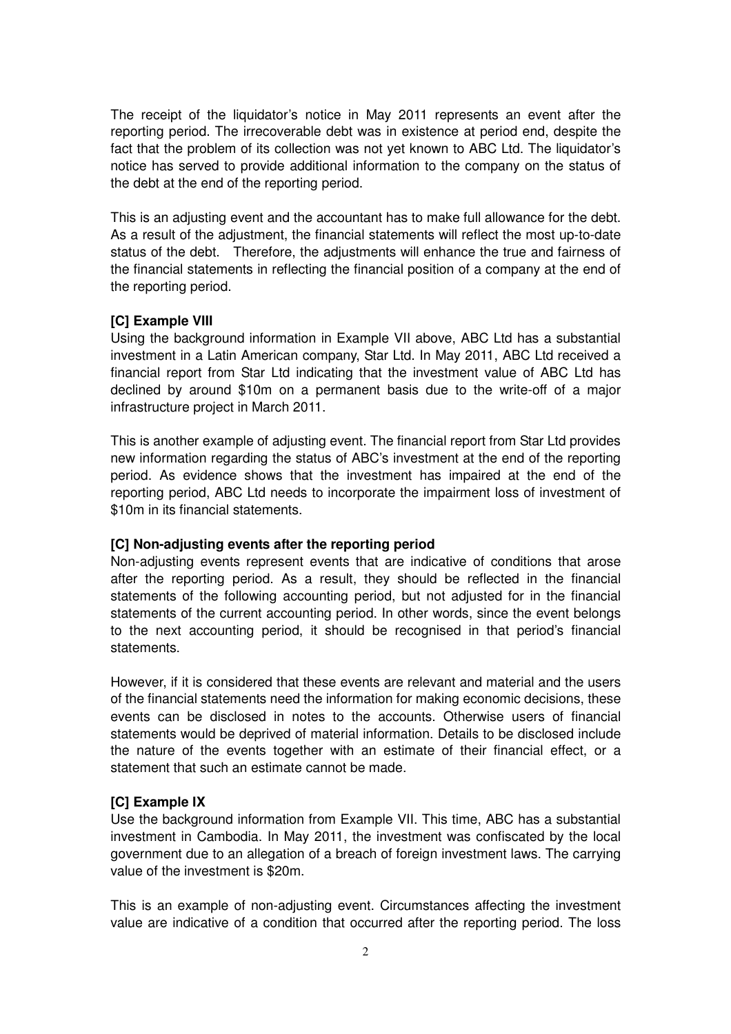The receipt of the liquidator's notice in May 2011 represents an event after the reporting period. The irrecoverable debt was in existence at period end, despite the fact that the problem of its collection was not yet known to ABC Ltd. The liquidator's notice has served to provide additional information to the company on the status of the debt at the end of the reporting period.

This is an adjusting event and the accountant has to make full allowance for the debt. As a result of the adjustment, the financial statements will reflect the most up-to-date status of the debt. Therefore, the adjustments will enhance the true and fairness of the financial statements in reflecting the financial position of a company at the end of the reporting period.

## **[C] Example VIII**

Using the background information in Example VII above, ABC Ltd has a substantial investment in a Latin American company, Star Ltd. In May 2011, ABC Ltd received a financial report from Star Ltd indicating that the investment value of ABC Ltd has declined by around \$10m on a permanent basis due to the write-off of a major infrastructure project in March 2011.

This is another example of adjusting event. The financial report from Star Ltd provides new information regarding the status of ABC's investment at the end of the reporting period. As evidence shows that the investment has impaired at the end of the reporting period, ABC Ltd needs to incorporate the impairment loss of investment of \$10m in its financial statements.

#### **[C] Non-adjusting events after the reporting period**

Non-adjusting events represent events that are indicative of conditions that arose after the reporting period. As a result, they should be reflected in the financial statements of the following accounting period, but not adjusted for in the financial statements of the current accounting period. In other words, since the event belongs to the next accounting period, it should be recognised in that period's financial statements.

However, if it is considered that these events are relevant and material and the users of the financial statements need the information for making economic decisions, these events can be disclosed in notes to the accounts. Otherwise users of financial statements would be deprived of material information. Details to be disclosed include the nature of the events together with an estimate of their financial effect, or a statement that such an estimate cannot be made.

#### **[C] Example IX**

Use the background information from Example VII. This time, ABC has a substantial investment in Cambodia. In May 2011, the investment was confiscated by the local government due to an allegation of a breach of foreign investment laws. The carrying value of the investment is \$20m.

This is an example of non-adjusting event. Circumstances affecting the investment value are indicative of a condition that occurred after the reporting period. The loss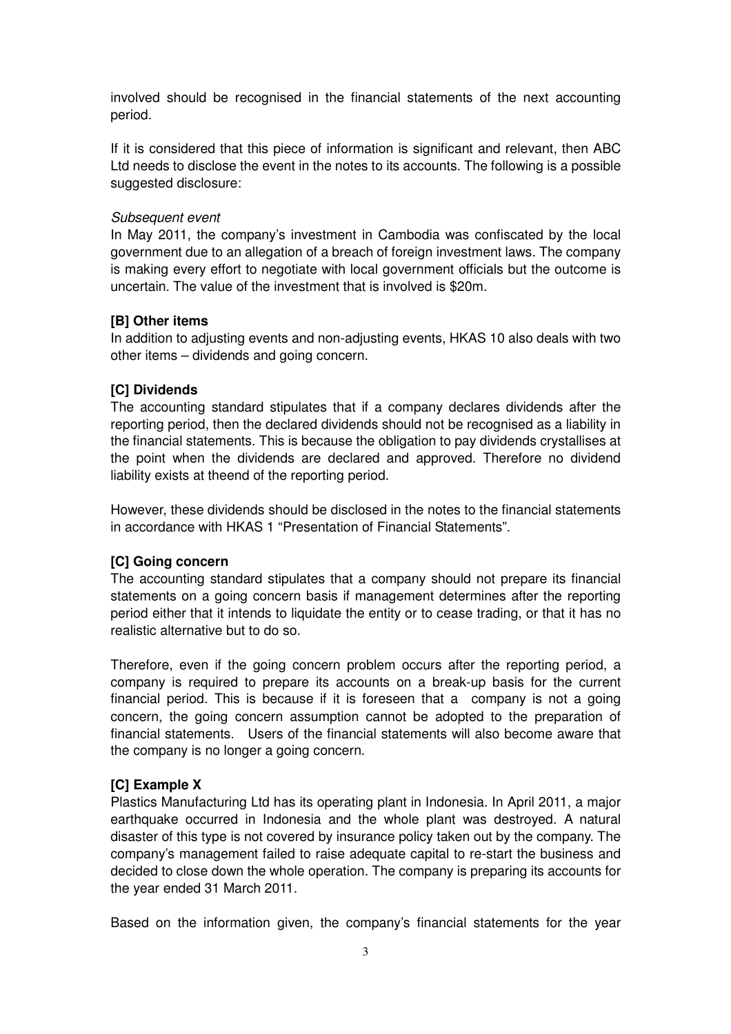involved should be recognised in the financial statements of the next accounting period.

If it is considered that this piece of information is significant and relevant, then ABC Ltd needs to disclose the event in the notes to its accounts. The following is a possible suggested disclosure:

#### Subsequent event

In May 2011, the company's investment in Cambodia was confiscated by the local government due to an allegation of a breach of foreign investment laws. The company is making every effort to negotiate with local government officials but the outcome is uncertain. The value of the investment that is involved is \$20m.

#### **[B] Other items**

In addition to adjusting events and non-adjusting events, HKAS 10 also deals with two other items – dividends and going concern.

### **[C] Dividends**

The accounting standard stipulates that if a company declares dividends after the reporting period, then the declared dividends should not be recognised as a liability in the financial statements. This is because the obligation to pay dividends crystallises at the point when the dividends are declared and approved. Therefore no dividend liability exists at theend of the reporting period.

However, these dividends should be disclosed in the notes to the financial statements in accordance with HKAS 1 "Presentation of Financial Statements".

#### **[C] Going concern**

The accounting standard stipulates that a company should not prepare its financial statements on a going concern basis if management determines after the reporting period either that it intends to liquidate the entity or to cease trading, or that it has no realistic alternative but to do so.

Therefore, even if the going concern problem occurs after the reporting period, a company is required to prepare its accounts on a break-up basis for the current financial period. This is because if it is foreseen that a company is not a going concern, the going concern assumption cannot be adopted to the preparation of financial statements. Users of the financial statements will also become aware that the company is no longer a going concern.

## **[C] Example X**

Plastics Manufacturing Ltd has its operating plant in Indonesia. In April 2011, a major earthquake occurred in Indonesia and the whole plant was destroyed. A natural disaster of this type is not covered by insurance policy taken out by the company. The company's management failed to raise adequate capital to re-start the business and decided to close down the whole operation. The company is preparing its accounts for the year ended 31 March 2011.

Based on the information given, the company's financial statements for the year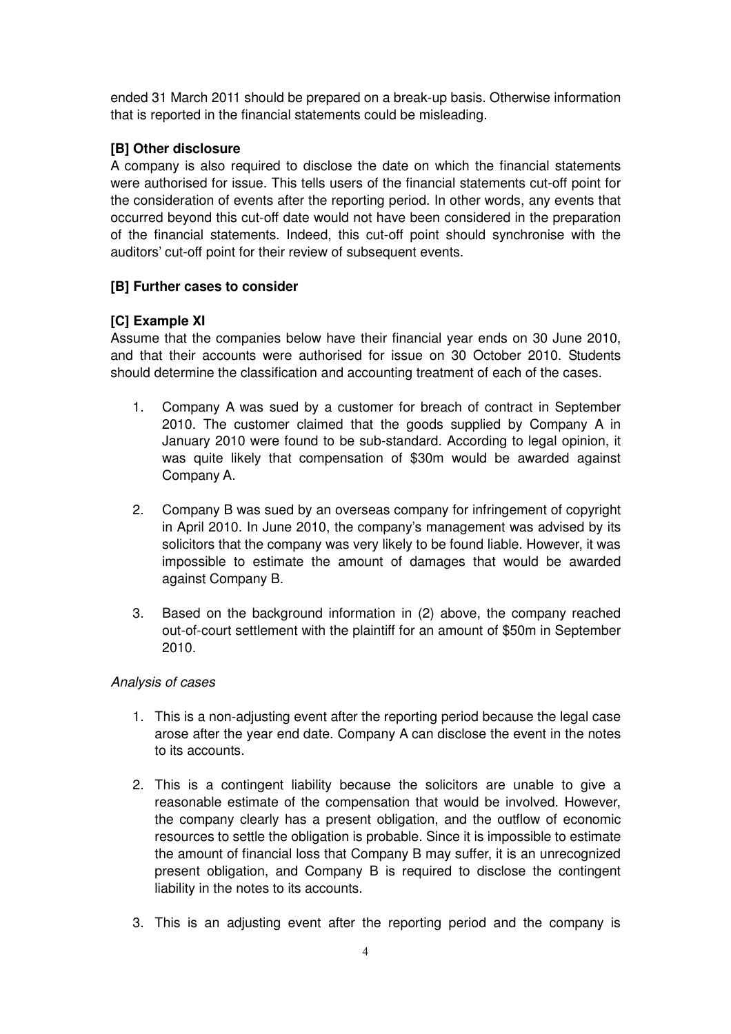ended 31 March 2011 should be prepared on a break-up basis. Otherwise information that is reported in the financial statements could be misleading.

# **[B] Other disclosure**

A company is also required to disclose the date on which the financial statements were authorised for issue. This tells users of the financial statements cut-off point for the consideration of events after the reporting period. In other words, any events that occurred beyond this cut-off date would not have been considered in the preparation of the financial statements. Indeed, this cut-off point should synchronise with the auditors' cut-off point for their review of subsequent events.

## **[B] Further cases to consider**

## **[C] Example XI**

Assume that the companies below have their financial year ends on 30 June 2010, and that their accounts were authorised for issue on 30 October 2010. Students should determine the classification and accounting treatment of each of the cases.

- 1. Company A was sued by a customer for breach of contract in September 2010. The customer claimed that the goods supplied by Company A in January 2010 were found to be sub-standard. According to legal opinion, it was quite likely that compensation of \$30m would be awarded against Company A.
- 2. Company B was sued by an overseas company for infringement of copyright in April 2010. In June 2010, the company's management was advised by its solicitors that the company was very likely to be found liable. However, it was impossible to estimate the amount of damages that would be awarded against Company B.
- 3. Based on the background information in (2) above, the company reached out-of-court settlement with the plaintiff for an amount of \$50m in September 2010.

## Analysis of cases

- 1. This is a non-adjusting event after the reporting period because the legal case arose after the year end date. Company A can disclose the event in the notes to its accounts.
- 2. This is a contingent liability because the solicitors are unable to give a reasonable estimate of the compensation that would be involved. However, the company clearly has a present obligation, and the outflow of economic resources to settle the obligation is probable. Since it is impossible to estimate the amount of financial loss that Company B may suffer, it is an unrecognized present obligation, and Company B is required to disclose the contingent liability in the notes to its accounts.
- 3. This is an adjusting event after the reporting period and the company is